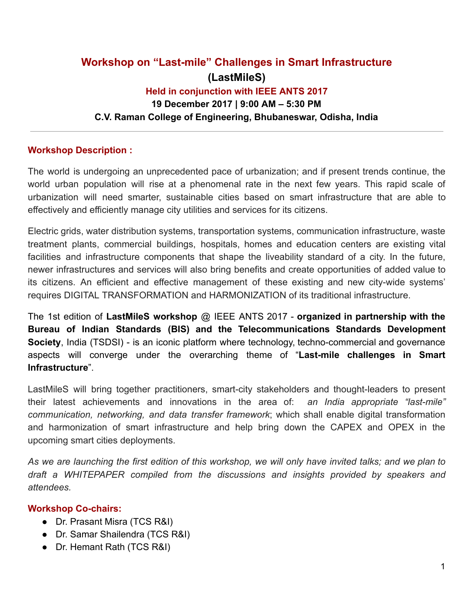# **Workshop on "Last-mile" Challenges in Smart Infrastructure (LastMileS) Held in conjunction with IEEE ANTS 2017 19 December 2017 | 9:00 AM – 5:30 PM C.V. Raman College of Engineering, Bhubaneswar, Odisha, India**

### **Workshop Description :**

The world is undergoing an unprecedented pace of urbanization; and if present trends continue, the world urban population will rise at a phenomenal rate in the next few years. This rapid scale of urbanization will need smarter, sustainable cities based on smart infrastructure that are able to effectively and efficiently manage city utilities and services for its citizens.

Electric grids, water distribution systems, transportation systems, communication infrastructure, waste treatment plants, commercial buildings, hospitals, homes and education centers are existing vital facilities and infrastructure components that shape the liveability standard of a city. In the future, newer infrastructures and services will also bring benefits and create opportunities of added value to its citizens. An efficient and effective management of these existing and new city-wide systems' requires DIGITAL TRANSFORMATION and HARMONIZATION of its traditional infrastructure.

The 1st edition of **LastMileS workshop** @ IEEE ANTS 2017 - **organized in partnership with the Bureau of Indian Standards (BIS) and the Telecommunications Standards Development Society**, India (TSDSI) - is an iconic platform where technology, techno-commercial and governance aspects will converge under the overarching theme of " **Last-mile challenges in Smart Infrastructure** ".

LastMileS will bring together practitioners, smart-city stakeholders and thought-leaders to present their latest achievements and innovations in the area of: *an India appropriate "last-mile" communication, networking, and data transfer framework* ; which shall enable digital transformation and harmonization of smart infrastructure and help bring down the CAPEX and OPEX in the upcoming smart cities deployments.

As we are launching the first edition of this workshop, we will only have invited talks; and we plan to *draft a WHITEPAPER compiled from the discussions and insights provided by speakers and attendees.*

### **Workshop Co-chairs:**

- Dr. Prasant Misra (TCS R&I)
- Dr. Samar Shailendra (TCS R&I)
- Dr. Hemant Rath (TCS R&I)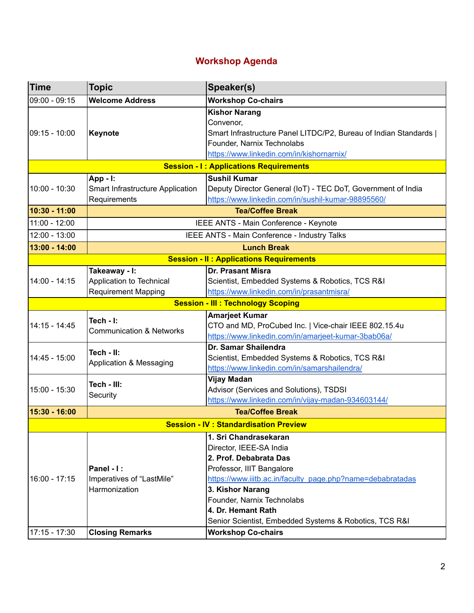# **Workshop Agenda**

| <b>Time</b>                                    | <b>Topic</b>                                                            | Speaker(s)                                                                                                                                                                                                                                                                                              |
|------------------------------------------------|-------------------------------------------------------------------------|---------------------------------------------------------------------------------------------------------------------------------------------------------------------------------------------------------------------------------------------------------------------------------------------------------|
| $09:00 - 09:15$                                | <b>Welcome Address</b>                                                  | <b>Workshop Co-chairs</b>                                                                                                                                                                                                                                                                               |
| $09:15 - 10:00$                                | Keynote                                                                 | <b>Kishor Narang</b><br>Convenor,<br>Smart Infrastructure Panel LITDC/P2, Bureau of Indian Standards  <br>Founder, Narnix Technolabs<br>https://www.linkedin.com/in/kishornarnix/                                                                                                                       |
| <b>Session - I: Applications Requirements</b>  |                                                                         |                                                                                                                                                                                                                                                                                                         |
| $10:00 - 10:30$                                | App - I:<br>Smart Infrastructure Application<br>Requirements            | <b>Sushil Kumar</b><br>Deputy Director General (IoT) - TEC DoT, Government of India<br>https://www.linkedin.com/in/sushil-kumar-98895560/                                                                                                                                                               |
| $10:30 - 11:00$                                | <b>Tea/Coffee Break</b>                                                 |                                                                                                                                                                                                                                                                                                         |
| $11:00 - 12:00$                                | IEEE ANTS - Main Conference - Keynote                                   |                                                                                                                                                                                                                                                                                                         |
| 12:00 - 13:00                                  | IEEE ANTS - Main Conference - Industry Talks                            |                                                                                                                                                                                                                                                                                                         |
| 13:00 - 14:00                                  | <b>Lunch Break</b>                                                      |                                                                                                                                                                                                                                                                                                         |
| <b>Session - II: Applications Requirements</b> |                                                                         |                                                                                                                                                                                                                                                                                                         |
| 14:00 - 14:15                                  | Takeaway - I:<br>Application to Technical<br><b>Requirement Mapping</b> | <b>Dr. Prasant Misra</b><br>Scientist, Embedded Systems & Robotics, TCS R&I<br>https://www.linkedin.com/in/prasantmisra/                                                                                                                                                                                |
| <b>Session - III : Technology Scoping</b>      |                                                                         |                                                                                                                                                                                                                                                                                                         |
| $14:15 - 14:45$                                | Tech - I:<br><b>Communication &amp; Networks</b>                        | <b>Amarjeet Kumar</b><br>CTO and MD, ProCubed Inc.   Vice-chair IEEE 802.15.4u<br>https://www.linkedin.com/in/amarjeet-kumar-3bab06a/                                                                                                                                                                   |
| 14:45 - 15:00                                  | Tech - II:<br>Application & Messaging                                   | Dr. Samar Shailendra<br>Scientist, Embedded Systems & Robotics, TCS R&I<br>https://www.linkedin.com/in/samarshailendra/                                                                                                                                                                                 |
| $15:00 - 15:30$                                | Tech - III:<br>Security                                                 | <b>Vijay Madan</b><br>Advisor (Services and Solutions), TSDSI<br>https://www.linkedin.com/in/vijay-madan-934603144/                                                                                                                                                                                     |
| 15:30 - 16:00                                  | <b>Tea/Coffee Break</b>                                                 |                                                                                                                                                                                                                                                                                                         |
| <b>Session - IV: Standardisation Preview</b>   |                                                                         |                                                                                                                                                                                                                                                                                                         |
| $16:00 - 17:15$                                | Panel - I:<br>Imperatives of "LastMile"<br>Harmonization                | 1. Sri Chandrasekaran<br>Director, IEEE-SA India<br>2. Prof. Debabrata Das<br>Professor, IIIT Bangalore<br>https://www.iiitb.ac.in/faculty_page.php?name=debabratadas<br>3. Kishor Narang<br>Founder, Narnix Technolabs<br>4. Dr. Hemant Rath<br>Senior Scientist, Embedded Systems & Robotics, TCS R&I |
| 17:15 - 17:30                                  | <b>Closing Remarks</b>                                                  | <b>Workshop Co-chairs</b>                                                                                                                                                                                                                                                                               |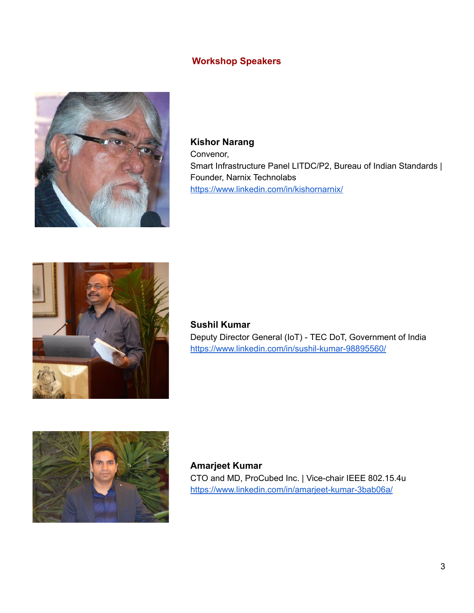## **Workshop Speakers**



**Kishor Narang** Convenor, Smart Infrastructure Panel LITDC/P2, Bureau of Indian Standards | Founder, Narnix Technolabs <https://www.linkedin.com/in/kishornarnix/>



**Sushil Kumar** Deputy Director General (IoT) - TEC DoT, Government of India <https://www.linkedin.com/in/sushil-kumar-98895560/>



**Amarjeet Kumar** CTO and MD, ProCubed Inc. | Vice-chair IEEE 802.15.4u <https://www.linkedin.com/in/amarjeet-kumar-3bab06a/>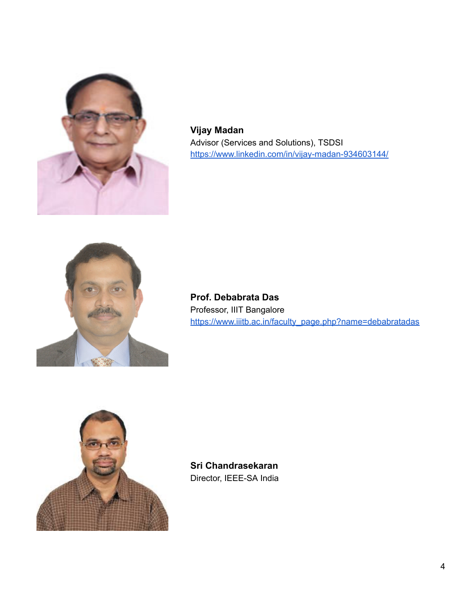

**Vijay Madan** Advisor (Services and Solutions), TSDSI <https://www.linkedin.com/in/vijay-madan-934603144/>



**Prof. Debabrata Das** Professor, IIIT Bangalore [https://www.iiitb.ac.in/faculty\\_page.php?name=debabratadas](https://www.iiitb.ac.in/faculty_page.php?name=debabratadas)



**Sri Chandrasekaran** Director, IEEE-SA India